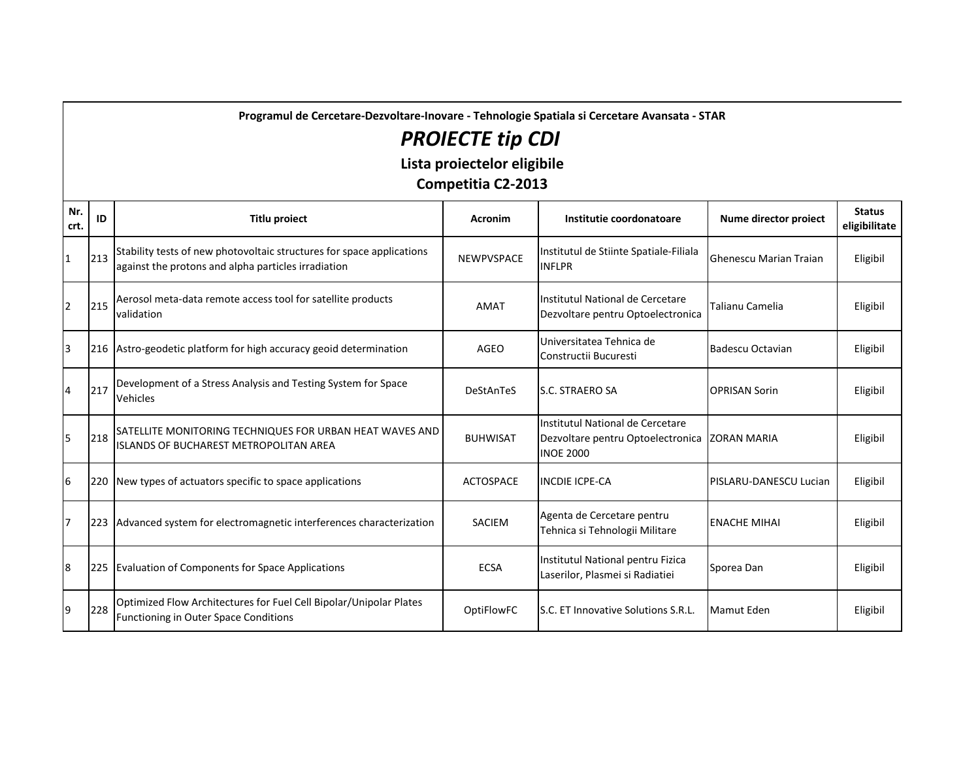**Programul de Cercetare-Dezvoltare-Inovare - Tehnologie Spatiala si Cercetare Avansata - STAR**

## *PROIECTE tip CDI*

**Lista proiectelor eligibile**

**Competitia C2-2013**

| Nr.<br>crt.    | ID  | <b>Titlu proiect</b>                                                                                                         | <b>Acronim</b>    | Institutie coordonatoare                                                                              | Nume director proiect  | <b>Status</b><br>eligibilitate |
|----------------|-----|------------------------------------------------------------------------------------------------------------------------------|-------------------|-------------------------------------------------------------------------------------------------------|------------------------|--------------------------------|
| 1              | 213 | Stability tests of new photovoltaic structures for space applications<br>against the protons and alpha particles irradiation | <b>NEWPVSPACE</b> | Institutul de Stiinte Spatiale-Filiala<br><b>INFLPR</b>                                               | Ghenescu Marian Traian | Eligibil                       |
| 2              | 215 | Aerosol meta-data remote access tool for satellite products<br>validation                                                    | <b>AMAT</b>       | Institutul National de Cercetare<br>Dezvoltare pentru Optoelectronica                                 | Talianu Camelia        | Eligibil                       |
| 3              |     | 216 Astro-geodetic platform for high accuracy geoid determination                                                            | AGEO              | Universitatea Tehnica de<br>Constructii Bucuresti                                                     | Badescu Octavian       | Eligibil                       |
| 4              | 217 | Development of a Stress Analysis and Testing System for Space<br>Vehicles                                                    | DeStAnTeS         | <b>S.C. STRAERO SA</b>                                                                                | <b>OPRISAN Sorin</b>   | Eligibil                       |
| 5              | 218 | SATELLITE MONITORING TECHNIQUES FOR URBAN HEAT WAVES AND<br><b>ISLANDS OF BUCHAREST METROPOLITAN AREA</b>                    | <b>BUHWISAT</b>   | Institutul National de Cercetare<br>Dezvoltare pentru Optoelectronica ZORAN MARIA<br><b>INOE 2000</b> |                        | Eligibil                       |
| 6              | 220 | New types of actuators specific to space applications                                                                        | <b>ACTOSPACE</b>  | <b>INCDIE ICPE-CA</b>                                                                                 | PISLARU-DANESCU Lucian | Eligibil                       |
| $\overline{7}$ | 223 | Advanced system for electromagnetic interferences characterization                                                           | <b>SACIEM</b>     | Agenta de Cercetare pentru<br>Tehnica si Tehnologii Militare                                          | <b>ENACHE MIHAI</b>    | Eligibil                       |
| 8              | 225 | Evaluation of Components for Space Applications                                                                              | <b>ECSA</b>       | Institutul National pentru Fizica<br>Laserilor, Plasmei si Radiatiei                                  | Sporea Dan             | Eligibil                       |
| 9              | 228 | Optimized Flow Architectures for Fuel Cell Bipolar/Unipolar Plates<br>Functioning in Outer Space Conditions                  | OptiFlowFC        | <b>IS.C. ET Innovative Solutions S.R.L.</b>                                                           | Mamut Eden             | Eligibil                       |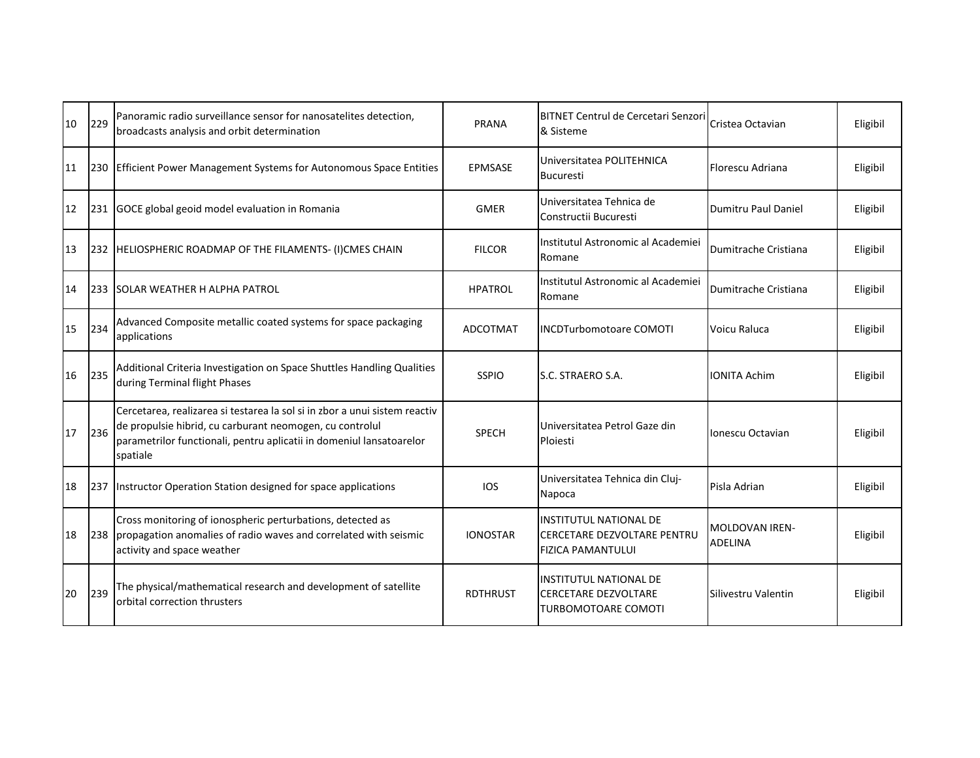| 10 | 229 | Panoramic radio surveillance sensor for nanosatelites detection,<br>broadcasts analysis and orbit determination                                                                                                            | PRANA           | <b>BITNET Centrul de Cercetari Senzori</b><br>& Sisteme                                          | Cristea Octavian           | Eligibil |
|----|-----|----------------------------------------------------------------------------------------------------------------------------------------------------------------------------------------------------------------------------|-----------------|--------------------------------------------------------------------------------------------------|----------------------------|----------|
| 11 | 230 | <b>Efficient Power Management Systems for Autonomous Space Entities</b>                                                                                                                                                    | <b>EPMSASE</b>  | Universitatea POLITEHNICA<br><b>Bucuresti</b>                                                    | Florescu Adriana           | Eligibil |
| 12 | 231 | GOCE global geoid model evaluation in Romania                                                                                                                                                                              | <b>GMER</b>     | Universitatea Tehnica de<br>Constructii Bucuresti                                                | <b>Dumitru Paul Daniel</b> | Eligibil |
| 13 | 232 | HELIOSPHERIC ROADMAP OF THE FILAMENTS- (I)CMES CHAIN                                                                                                                                                                       | <b>FILCOR</b>   | Institutul Astronomic al Academiei<br>Romane                                                     | Dumitrache Cristiana       | Eligibil |
| 14 | 233 | <b>SOLAR WEATHER H ALPHA PATROL</b>                                                                                                                                                                                        | <b>HPATROL</b>  | Institutul Astronomic al Academiei<br>Romane                                                     | Dumitrache Cristiana       | Eligibil |
| 15 | 234 | Advanced Composite metallic coated systems for space packaging<br>applications                                                                                                                                             | <b>ADCOTMAT</b> | <b>INCDTurbomotoare COMOTI</b>                                                                   | Voicu Raluca               | Eligibil |
| 16 | 235 | Additional Criteria Investigation on Space Shuttles Handling Qualities<br>during Terminal flight Phases                                                                                                                    | <b>SSPIO</b>    | S.C. STRAERO S.A.                                                                                | <b>IONITA Achim</b>        | Eligibil |
| 17 | 236 | Cercetarea, realizarea si testarea la sol si in zbor a unui sistem reactiv<br>de propulsie hibrid, cu carburant neomogen, cu controlul<br>parametrilor functionali, pentru aplicatii in domeniul lansatoarelor<br>spatiale | <b>SPECH</b>    | Universitatea Petrol Gaze din<br>Ploiesti                                                        | Ionescu Octavian           | Eligibil |
| 18 | 237 | Instructor Operation Station designed for space applications                                                                                                                                                               | ios             | Universitatea Tehnica din Cluj-<br>Napoca                                                        | Pisla Adrian               | Eligibil |
| 18 | 238 | Cross monitoring of ionospheric perturbations, detected as<br>propagation anomalies of radio waves and correlated with seismic<br>activity and space weather                                                               | <b>IONOSTAR</b> | <b>INSTITUTUL NATIONAL DE</b><br><b>ICERCETARE DEZVOLTARE PENTRU</b><br><b>FIZICA PAMANTULUI</b> | MOLDOVAN IREN-<br>ADELINA  | Eligibil |
| 20 | 239 | The physical/mathematical research and development of satellite<br>orbital correction thrusters                                                                                                                            | <b>RDTHRUST</b> | <b>INSTITUTUL NATIONAL DE</b><br><b>CERCETARE DEZVOLTARE</b><br><b>TURBOMOTOARE COMOTI</b>       | Silivestru Valentin        | Eligibil |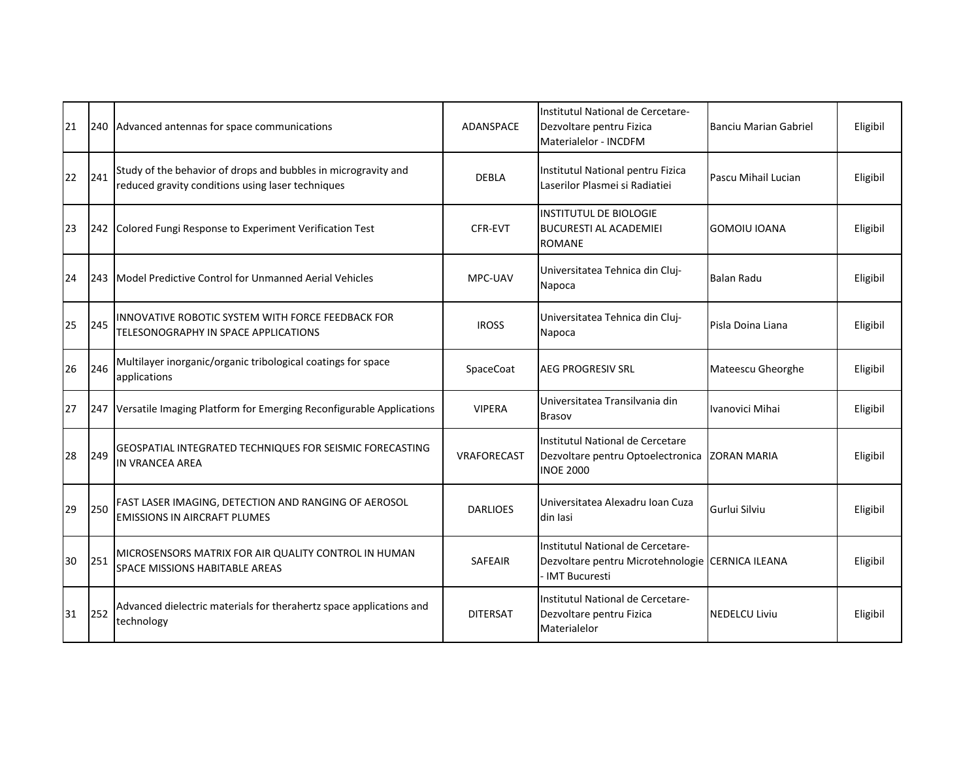| 21 | 240 | Advanced antennas for space communications                                                                          | ADANSPACE       | Institutul National de Cercetare-<br>Dezvoltare pentru Fizica<br>Materialelor - INCDFM                 | Banciu Marian Gabriel | Eligibil |
|----|-----|---------------------------------------------------------------------------------------------------------------------|-----------------|--------------------------------------------------------------------------------------------------------|-----------------------|----------|
| 22 | 241 | Study of the behavior of drops and bubbles in microgravity and<br>reduced gravity conditions using laser techniques | <b>DEBLA</b>    | Institutul National pentru Fizica<br>Laserilor Plasmei și Radiatiei                                    | Pascu Mihail Lucian   | Eligibil |
| 23 | 242 | Colored Fungi Response to Experiment Verification Test                                                              | CFR-EVT         | <b>INSTITUTUL DE BIOLOGIE</b><br><b>BUCURESTI AL ACADEMIEI</b><br><b>ROMANE</b>                        | GOMOIU IOANA          | Eligibil |
| 24 | 243 | Model Predictive Control for Unmanned Aerial Vehicles                                                               | MPC-UAV         | Universitatea Tehnica din Cluj-<br>Napoca                                                              | <b>Balan Radu</b>     | Eligibil |
| 25 | 245 | INNOVATIVE ROBOTIC SYSTEM WITH FORCE FEEDBACK FOR<br>TELESONOGRAPHY IN SPACE APPLICATIONS                           | <b>IROSS</b>    | Universitatea Tehnica din Cluj-<br>Napoca                                                              | Pisla Doina Liana     | Eligibil |
| 26 | 246 | Multilayer inorganic/organic tribological coatings for space<br>applications                                        | SpaceCoat       | <b>AEG PROGRESIV SRL</b>                                                                               | Mateescu Gheorghe     | Eligibil |
| 27 | 247 | Versatile Imaging Platform for Emerging Reconfigurable Applications                                                 | <b>VIPERA</b>   | Universitatea Transilvania din<br><b>Brasov</b>                                                        | Ivanovici Mihai       | Eligibil |
| 28 | 249 | GEOSPATIAL INTEGRATED TECHNIQUES FOR SEISMIC FORECASTING<br><b>IN VRANCEA AREA</b>                                  | VRAFORECAST     | Institutul National de Cercetare<br>Dezvoltare pentru Optoelectronica ZORAN MARIA<br><b>INOE 2000</b>  |                       | Eligibil |
| 29 | 250 | FAST LASER IMAGING, DETECTION AND RANGING OF AEROSOL<br><b>EMISSIONS IN AIRCRAFT PLUMES</b>                         | <b>DARLIOES</b> | Universitatea Alexadru Ioan Cuza<br>din Iasi                                                           | Gurlui Silviu         | Eligibil |
| 30 | 251 | MICROSENSORS MATRIX FOR AIR QUALITY CONTROL IN HUMAN<br><b>SPACE MISSIONS HABITABLE AREAS</b>                       | <b>SAFEAIR</b>  | Institutul National de Cercetare-<br>Dezvoltare pentru Microtehnologie CERNICA ILEANA<br>IMT Bucuresti |                       | Eligibil |
| 31 | 252 | Advanced dielectric materials for therahertz space applications and<br>technology                                   | <b>DITERSAT</b> | Institutul National de Cercetare-<br>Dezvoltare pentru Fizica<br>Materialelor                          | <b>NEDELCU Liviu</b>  | Eligibil |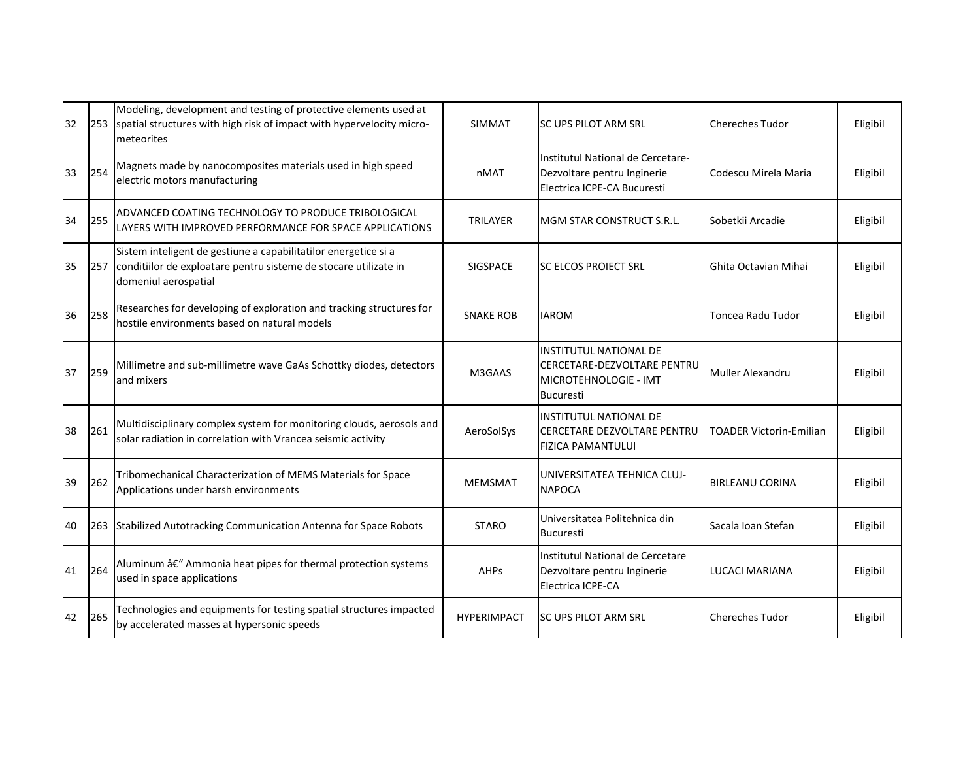| 32 | 253 | Modeling, development and testing of protective elements used at<br>spatial structures with high risk of impact with hypervelocity micro-<br>meteorites     | <b>SIMMAT</b>      | ISC UPS PILOT ARM SRL                                                                                     | <b>Chereches Tudor</b>  | Eligibil |
|----|-----|-------------------------------------------------------------------------------------------------------------------------------------------------------------|--------------------|-----------------------------------------------------------------------------------------------------------|-------------------------|----------|
| 33 | 254 | Magnets made by nanocomposites materials used in high speed<br>electric motors manufacturing                                                                | nMAT               | Institutul National de Cercetare-<br>Dezvoltare pentru Inginerie<br>Electrica ICPE-CA Bucuresti           | Codescu Mirela Maria    | Eligibil |
| 34 | 255 | ADVANCED COATING TECHNOLOGY TO PRODUCE TRIBOLOGICAL<br>LAYERS WITH IMPROVED PERFORMANCE FOR SPACE APPLICATIONS                                              | TRILAYER           | MGM STAR CONSTRUCT S.R.L.                                                                                 | Sobetkii Arcadie        | Eligibil |
| 35 | 257 | Sistem inteligent de gestiune a capabilitatilor energetice si a<br>conditiilor de exploatare pentru sisteme de stocare utilizate in<br>domeniul aerospatial | <b>SIGSPACE</b>    | <b>SC ELCOS PROJECT SRL</b>                                                                               | Ghita Octavian Mihai    | Eligibil |
| 36 | 258 | Researches for developing of exploration and tracking structures for<br>hostile environments based on natural models                                        | <b>SNAKE ROB</b>   | <b>IAROM</b>                                                                                              | Toncea Radu Tudor       | Eligibil |
| 37 | 259 | Millimetre and sub-millimetre wave GaAs Schottky diodes, detectors<br>and mixers                                                                            | M3GAAS             | <b>INSTITUTUL NATIONAL DE</b><br>CERCETARE-DEZVOLTARE PENTRU<br>MICROTEHNOLOGIE - IMT<br><b>Bucuresti</b> | Muller Alexandru        | Eligibil |
| 38 | 261 | Multidisciplinary complex system for monitoring clouds, aerosols and<br>solar radiation in correlation with Vrancea seismic activity                        | AeroSolSys         | <b>INSTITUTUL NATIONAL DE</b><br><b>CERCETARE DEZVOLTARE PENTRU</b><br><b>FIZICA PAMANTULUI</b>           | TOADER Victorin-Emilian | Eligibil |
| 39 | 262 | Tribomechanical Characterization of MEMS Materials for Space<br>Applications under harsh environments                                                       | <b>MEMSMAT</b>     | UNIVERSITATEA TEHNICA CLUJ-<br><b>NAPOCA</b>                                                              | <b>BIRLEANU CORINA</b>  | Eligibil |
| 40 | 263 | Stabilized Autotracking Communication Antenna for Space Robots                                                                                              | <b>STARO</b>       | Universitatea Politehnica din<br><b>Bucuresti</b>                                                         | Sacala Ioan Stefan      | Eligibil |
| 41 | 264 | Aluminum â€" Ammonia heat pipes for thermal protection systems<br>used in space applications                                                                | <b>AHPs</b>        | Institutul National de Cercetare<br>Dezvoltare pentru Inginerie<br>Electrica ICPE-CA                      | LUCACI MARIANA          | Eligibil |
| 42 | 265 | Technologies and equipments for testing spatial structures impacted<br>by accelerated masses at hypersonic speeds                                           | <b>HYPERIMPACT</b> | <b>SC UPS PILOT ARM SRL</b>                                                                               | <b>Chereches Tudor</b>  | Eligibil |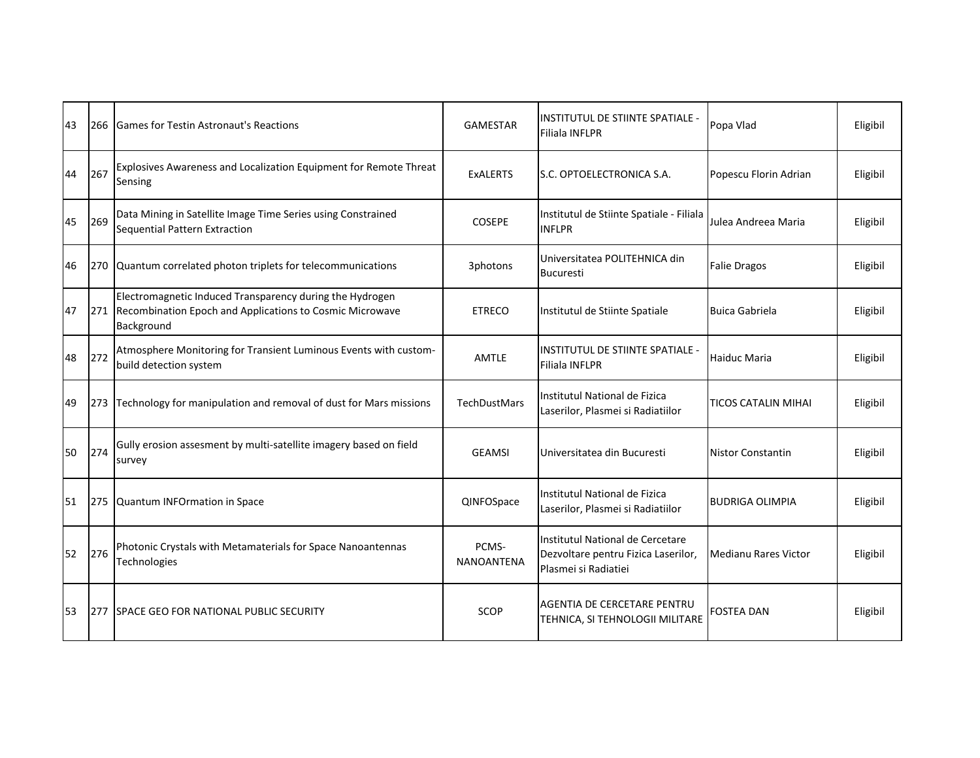| 43 | 266 | <b>Games for Testin Astronaut's Reactions</b>                                                                                      | <b>GAMESTAR</b>            | <b>INSTITUTUL DE STIINTE SPATIALE -</b><br><b>Filiala INFLPR</b>                                | Popa Vlad                  | Eligibil |
|----|-----|------------------------------------------------------------------------------------------------------------------------------------|----------------------------|-------------------------------------------------------------------------------------------------|----------------------------|----------|
| 44 | 267 | Explosives Awareness and Localization Equipment for Remote Threat<br>Sensing                                                       | <b>ExALERTS</b>            | S.C. OPTOELECTRONICA S.A.                                                                       | Popescu Florin Adrian      | Eligibil |
| 45 | 269 | Data Mining in Satellite Image Time Series using Constrained<br>Sequential Pattern Extraction                                      | <b>COSEPE</b>              | Institutul de Stiinte Spatiale - Filiala<br><b>INFLPR</b>                                       | Julea Andreea Maria        | Eligibil |
| 46 | 270 | Quantum correlated photon triplets for telecommunications                                                                          | 3photons                   | Universitatea POLITEHNICA din<br><b>Bucuresti</b>                                               | <b>Falie Dragos</b>        | Eligibil |
| 47 | 271 | Electromagnetic Induced Transparency during the Hydrogen<br>Recombination Epoch and Applications to Cosmic Microwave<br>Background | <b>ETRECO</b>              | Institutul de Stiinte Spatiale                                                                  | <b>Buica Gabriela</b>      | Eligibil |
| 48 | 272 | Atmosphere Monitoring for Transient Luminous Events with custom-<br>build detection system                                         | <b>AMTLE</b>               | <b>IINSTITUTUL DE STIINTE SPATIALE -</b><br><b>Filiala INFLPR</b>                               | <b>Haiduc Maria</b>        | Eligibil |
| 49 | 273 | Technology for manipulation and removal of dust for Mars missions                                                                  | <b>TechDustMars</b>        | Institutul National de Fizica<br>Laserilor, Plasmei si Radiatiilor                              | <b>TICOS CATALIN MIHAI</b> | Eligibil |
| 50 | 274 | Gully erosion assesment by multi-satellite imagery based on field<br>survey                                                        | <b>GEAMSI</b>              | Universitatea din Bucuresti                                                                     | <b>Nistor Constantin</b>   | Eligibil |
| 51 | 275 | Quantum INFOrmation in Space                                                                                                       | QINFOSpace                 | Institutul National de Fizica<br>Laserilor, Plasmei si Radiatiilor                              | <b>BUDRIGA OLIMPIA</b>     | Eligibil |
| 52 | 276 | Photonic Crystals with Metamaterials for Space Nanoantennas<br>Technologies                                                        | PCMS-<br><b>NANOANTENA</b> | Institutul National de Cercetare<br>Dezvoltare pentru Fizica Laserilor,<br>Plasmei si Radiatiei | Medianu Rares Victor       | Eligibil |
| 53 | 277 | <b>SPACE GEO FOR NATIONAL PUBLIC SECURITY</b>                                                                                      | <b>SCOP</b>                | <b>AGENTIA DE CERCETARE PENTRU</b><br>TEHNICA, SI TEHNOLOGII MILITARE                           | FOSTEA DAN                 | Eligibil |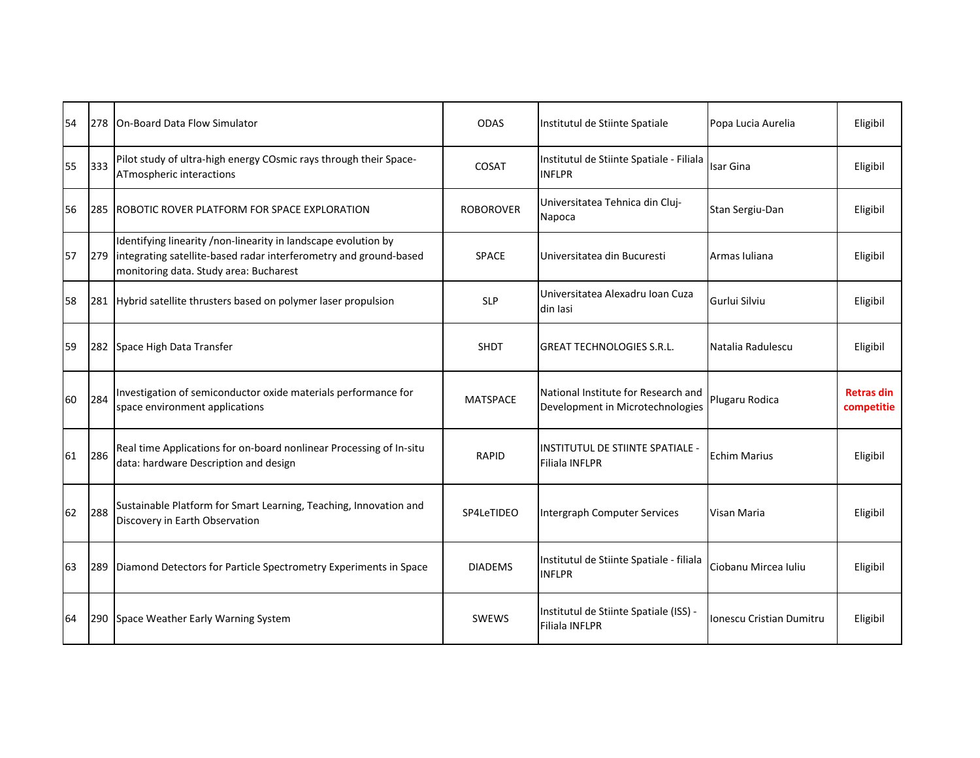| 54 | 278 | <b>IOn-Board Data Flow Simulator</b>                                                                                                                                          | <b>ODAS</b>      | Institutul de Stiinte Spatiale                                          | Popa Lucia Aurelia       | Eligibil                        |
|----|-----|-------------------------------------------------------------------------------------------------------------------------------------------------------------------------------|------------------|-------------------------------------------------------------------------|--------------------------|---------------------------------|
| 55 | 333 | Pilot study of ultra-high energy COsmic rays through their Space-<br>ATmospheric interactions                                                                                 | COSAT            | Institutul de Stiinte Spatiale - Filiala<br><b>INFLPR</b>               | Isar Gina                | Eligibil                        |
| 56 | 285 | IROBOTIC ROVER PLATFORM FOR SPACE EXPLORATION                                                                                                                                 | <b>ROBOROVER</b> | Universitatea Tehnica din Cluj-<br>Napoca                               | Stan Sergiu-Dan          | Eligibil                        |
| 57 | 279 | Identifying linearity /non-linearity in landscape evolution by<br>integrating satellite-based radar interferometry and ground-based<br>monitoring data. Study area: Bucharest | <b>SPACE</b>     | Universitatea din Bucuresti                                             | Armas Iuliana            | Eligibil                        |
| 58 | 281 | Hybrid satellite thrusters based on polymer laser propulsion                                                                                                                  | <b>SLP</b>       | Universitatea Alexadru Ioan Cuza<br>din Iasi                            | Gurlui Silviu            | Eligibil                        |
| 59 | 282 | Space High Data Transfer                                                                                                                                                      | <b>SHDT</b>      | IGREAT TECHNOLOGIES S.R.L.                                              | Natalia Radulescu        | Eligibil                        |
| 60 | 284 | Investigation of semiconductor oxide materials performance for<br>space environment applications                                                                              | <b>MATSPACE</b>  | National Institute for Research and<br>Development in Microtechnologies | Plugaru Rodica           | <b>Retras din</b><br>competitie |
| 61 | 286 | Real time Applications for on-board nonlinear Processing of In-situ<br>data: hardware Description and design                                                                  | <b>RAPID</b>     | <b>INSTITUTUL DE STIINTE SPATIALE -</b><br><b>Filiala INFLPR</b>        | <b>Echim Marius</b>      | Eligibil                        |
| 62 | 288 | Sustainable Platform for Smart Learning, Teaching, Innovation and<br>Discovery in Earth Observation                                                                           | SP4LeTIDEO       | Intergraph Computer Services                                            | Visan Maria              | Eligibil                        |
| 63 | 289 | Diamond Detectors for Particle Spectrometry Experiments in Space                                                                                                              | <b>DIADEMS</b>   | Institutul de Stiinte Spatiale - filiala<br><b>INFLPR</b>               | Ciobanu Mircea Iuliu     | Eligibil                        |
| 64 | 290 | Space Weather Early Warning System                                                                                                                                            | <b>SWEWS</b>     | Institutul de Stiinte Spatiale (ISS) -<br><b>Filiala INFLPR</b>         | Ionescu Cristian Dumitru | Eligibil                        |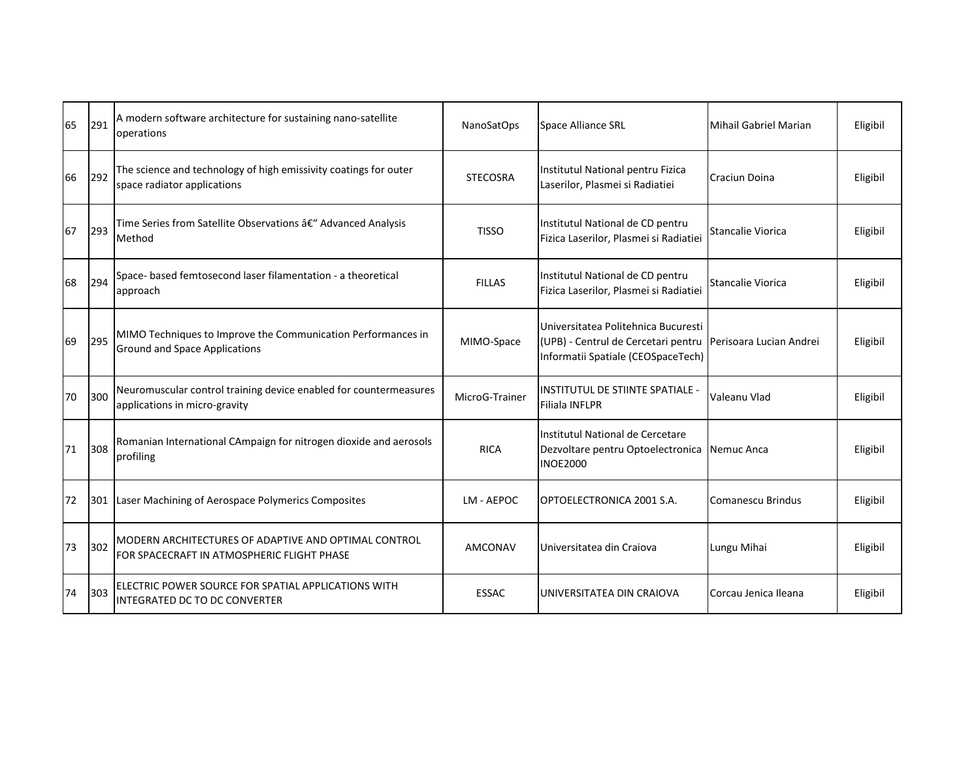| 65 | 291 | A modern software architecture for sustaining nano-satellite<br>operations                           | NanoSatOps      | Space Alliance SRL                                                                                                                         | Mihail Gabriel Marian    | Eligibil |
|----|-----|------------------------------------------------------------------------------------------------------|-----------------|--------------------------------------------------------------------------------------------------------------------------------------------|--------------------------|----------|
| 66 | 292 | The science and technology of high emissivity coatings for outer<br>space radiator applications      | <b>STECOSRA</b> | Institutul National pentru Fizica<br>Laserilor, Plasmei si Radiatiei                                                                       | <b>Craciun Doina</b>     | Eligibil |
| 67 | 293 | Time Series from Satellite Observations â€" Advanced Analysis<br>Method                              | <b>TISSO</b>    | Institutul National de CD pentru<br>Fizica Laserilor, Plasmei și Radiatiei                                                                 | <b>Stancalie Viorica</b> | Eligibil |
| 68 | 294 | Space- based femtosecond laser filamentation - a theoretical<br>approach                             | <b>FILLAS</b>   | Institutul National de CD pentru<br>Fizica Laserilor, Plasmei si Radiatiei                                                                 | Stancalie Viorica        | Eligibil |
| 69 | 295 | MIMO Techniques to Improve the Communication Performances in<br><b>Ground and Space Applications</b> | MIMO-Space      | Universitatea Politehnica Bucuresti<br>(UPB) - Centrul de Cercetari pentru   Perisoara Lucian Andrei<br>Informatii Spatiale (CEOSpaceTech) |                          | Eligibil |
| 70 | 300 | Neuromuscular control training device enabled for countermeasures<br>applications in micro-gravity   | MicroG-Trainer  | <b>IINSTITUTUL DE STIINTE SPATIALE -</b><br><b>Filiala INFLPR</b>                                                                          | Valeanu Vlad             | Eligibil |
| 71 | 308 | Romanian International CAmpaign for nitrogen dioxide and aerosols<br>profiling                       | <b>RICA</b>     | Institutul National de Cercetare<br>Dezvoltare pentru Optoelectronica Nemuc Anca<br><b>INOE2000</b>                                        |                          | Eligibil |
| 72 | 301 | Laser Machining of Aerospace Polymerics Composites                                                   | LM - AEPOC      | OPTOELECTRONICA 2001 S.A.                                                                                                                  | Comanescu Brindus        | Eligibil |
| 73 | 302 | MODERN ARCHITECTURES OF ADAPTIVE AND OPTIMAL CONTROL<br>FOR SPACECRAFT IN ATMOSPHERIC FLIGHT PHASE   | AMCONAV         | Universitatea din Craiova                                                                                                                  | Lungu Mihai              | Eligibil |
| 74 | 303 | ELECTRIC POWER SOURCE FOR SPATIAL APPLICATIONS WITH<br><b>INTEGRATED DC TO DC CONVERTER</b>          | <b>ESSAC</b>    | <b>UNIVERSITATEA DIN CRAIOVA</b>                                                                                                           | Corcau Jenica Ileana     | Eligibil |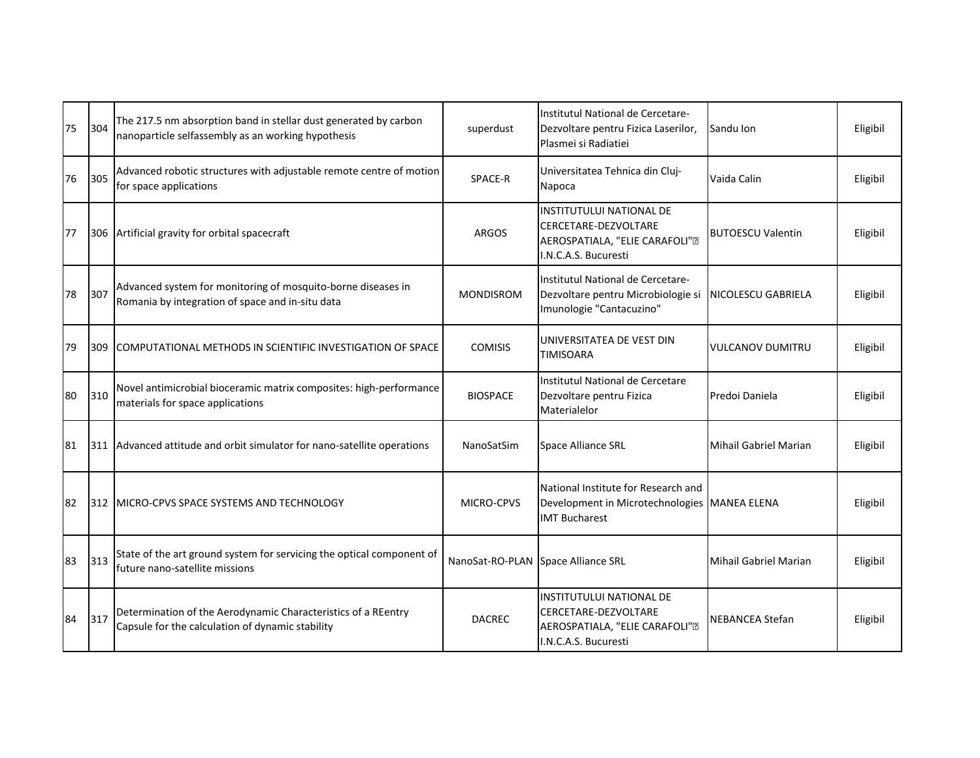| 75 | 304 | The 217.5 nm absorption band in stellar dust generated by carbon<br>nanoparticle selfassembly as an working hypothesis | superdust                          | Institutul National de Cercetare-<br>Dezvoltare pentru Fizica Laserilor,<br>Plasmei si Radiatiei                  | Sandu Ion                    | Eligibil |
|----|-----|------------------------------------------------------------------------------------------------------------------------|------------------------------------|-------------------------------------------------------------------------------------------------------------------|------------------------------|----------|
| 76 | 305 | Advanced robotic structures with adjustable remote centre of motion<br>for space applications                          | SPACE-R                            | Universitatea Tehnica din Cluj-<br>Napoca                                                                         | Vaida Calin                  | Eligibil |
| 77 | 306 | Artificial gravity for orbital spacecraft                                                                              | <b>ARGOS</b>                       | <b>INSTITUTULUI NATIONAL DE</b><br>CERCETARE-DEZVOLTARE<br>AEROSPATIALA, "ELIE CARAFOLI".<br>I.N.C.A.S. Bucuresti | <b>BUTOESCU Valentin</b>     | Eligibil |
| 78 | 307 | Advanced system for monitoring of mosquito-borne diseases in<br>Romania by integration of space and in-situ data       | <b>MONDISROM</b>                   | Institutul National de Cercetare-<br>Dezvoltare pentru Microbiologie si<br>Imunologie "Cantacuzino"               | NICOLESCU GABRIELA           | Eligibil |
| 79 | 309 | COMPUTATIONAL METHODS IN SCIENTIFIC INVESTIGATION OF SPACE                                                             | <b>COMISIS</b>                     | UNIVERSITATEA DE VEST DIN<br><b>TIMISOARA</b>                                                                     | <b>VULCANOV DUMITRU</b>      | Eligibil |
| 80 | 310 | Novel antimicrobial bioceramic matrix composites: high-performance<br>materials for space applications                 | <b>BIOSPACE</b>                    | Institutul National de Cercetare<br>Dezvoltare pentru Fizica<br>Materialelor                                      | Predoi Daniela               | Eligibil |
| 81 | 311 | Advanced attitude and orbit simulator for nano-satellite operations                                                    | NanoSatSim                         | Space Alliance SRL                                                                                                | <b>Mihail Gabriel Marian</b> | Eligibil |
| 82 | 312 | MICRO-CPVS SPACE SYSTEMS AND TECHNOLOGY                                                                                | <b>MICRO-CPVS</b>                  | National Institute for Research and<br>Development in Microtechnologies MANEA ELENA<br><b>IMT Bucharest</b>       |                              | Eligibil |
| 83 | 313 | State of the art ground system for servicing the optical component of<br>future nano-satellite missions                | NanoSat-RO-PLAN Space Alliance SRL |                                                                                                                   | <b>Mihail Gabriel Marian</b> | Eligibil |
| 84 | 317 | Determination of the Aerodynamic Characteristics of a REentry<br>Capsule for the calculation of dynamic stability      | <b>DACREC</b>                      | <b>INSTITUTULUI NATIONAL DE</b><br>CERCETARE-DEZVOLTARE<br>AEROSPATIALA, "ELIE CARAFOLI".<br>I.N.C.A.S. Bucuresti | <b>NEBANCEA Stefan</b>       | Eligibil |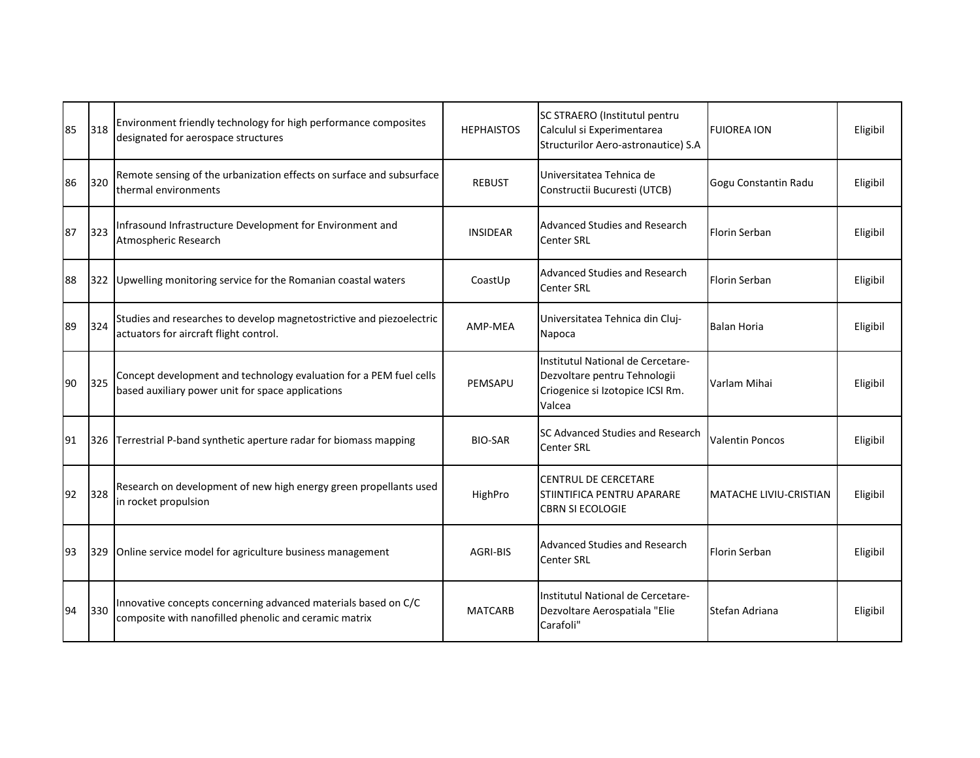| 85 | 318 | Environment friendly technology for high performance composites<br>designated for aerospace structures                  | <b>HEPHAISTOS</b> | SC STRAERO (Institutul pentru<br>Calculul si Experimentarea<br>Structurilor Aero-astronautice) S.A              | <b>FUIOREA ION</b>            | Eligibil |
|----|-----|-------------------------------------------------------------------------------------------------------------------------|-------------------|-----------------------------------------------------------------------------------------------------------------|-------------------------------|----------|
| 86 | 320 | Remote sensing of the urbanization effects on surface and subsurface<br>thermal environments                            | <b>REBUST</b>     | Universitatea Tehnica de<br>Constructii Bucuresti (UTCB)                                                        | Gogu Constantin Radu          | Eligibil |
| 87 | 323 | Infrasound Infrastructure Development for Environment and<br>Atmospheric Research                                       | <b>INSIDEAR</b>   | Advanced Studies and Research<br><b>Center SRL</b>                                                              | Florin Serban                 | Eligibil |
| 88 | 322 | Upwelling monitoring service for the Romanian coastal waters                                                            | CoastUp           | Advanced Studies and Research<br><b>Center SRL</b>                                                              | Florin Serban                 | Eligibil |
| 89 | 324 | Studies and researches to develop magnetostrictive and piezoelectric<br>actuators for aircraft flight control.          | AMP-MEA           | Universitatea Tehnica din Cluj-<br>Napoca                                                                       | Balan Horia                   | Eligibil |
| 90 | 325 | Concept development and technology evaluation for a PEM fuel cells<br>based auxiliary power unit for space applications | PEMSAPU           | Institutul National de Cercetare-<br>Dezvoltare pentru Tehnologii<br>Criogenice si Izotopice ICSI Rm.<br>Valcea | Varlam Mihai                  | Eligibil |
| 91 | 326 | Terrestrial P-band synthetic aperture radar for biomass mapping                                                         | <b>BIO-SAR</b>    | <b>SC Advanced Studies and Research</b><br><b>Center SRL</b>                                                    | Valentin Poncos               | Eligibil |
| 92 | 328 | Research on development of new high energy green propellants used<br>in rocket propulsion                               | HighPro           | <b>CENTRUL DE CERCETARE</b><br><b>STIINTIFICA PENTRU APARARE</b><br><b>CBRN SI ECOLOGIE</b>                     | <b>MATACHE LIVIU-CRISTIAN</b> | Eligibil |
| 93 | 329 | Online service model for agriculture business management                                                                | AGRI-BIS          | <b>Advanced Studies and Research</b><br><b>Center SRL</b>                                                       | Florin Serban                 | Eligibil |
| 94 | 330 | Innovative concepts concerning advanced materials based on C/C<br>composite with nanofilled phenolic and ceramic matrix | <b>MATCARB</b>    | Institutul National de Cercetare-<br>Dezvoltare Aerospatiala "Elie<br>Carafoli"                                 | Stefan Adriana                | Eligibil |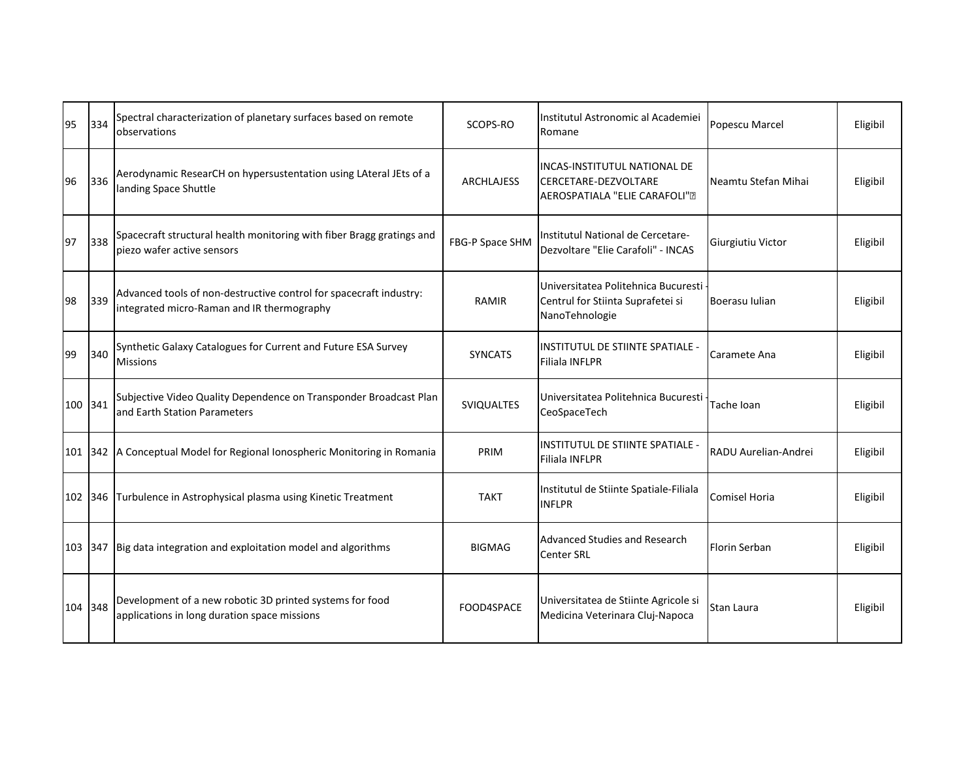| 95      | 334     | Spectral characterization of planetary surfaces based on remote<br>observations                                  | SCOPS-RO          | Institutul Astronomic al Academiei<br>Romane                                               | Popescu Marcel       | Eligibil |
|---------|---------|------------------------------------------------------------------------------------------------------------------|-------------------|--------------------------------------------------------------------------------------------|----------------------|----------|
| 96      | 336     | Aerodynamic ResearCH on hypersustentation using LAteral JEts of a<br>landing Space Shuttle                       | <b>ARCHLAJESS</b> | INCAS-INSTITUTUL NATIONAL DE<br>CERCETARE-DEZVOLTARE<br>AEROSPATIALA "ELIE CARAFOLI".      | Neamtu Stefan Mihai  | Eligibil |
| 97      | 338     | Spacecraft structural health monitoring with fiber Bragg gratings and<br>piezo wafer active sensors              | FBG-P Space SHM   | Institutul National de Cercetare-<br>Dezvoltare "Elie Carafoli" - INCAS                    | Giurgiutiu Victor    | Eligibil |
| 98      | 339     | Advanced tools of non-destructive control for spacecraft industry:<br>integrated micro-Raman and IR thermography | RAMIR             | Universitatea Politehnica Bucuresti<br>Centrul for Stiinta Suprafetei si<br>NanoTehnologie | Boerasu Iulian       | Eligibil |
| 99      | 340     | Synthetic Galaxy Catalogues for Current and Future ESA Survey<br><b>Missions</b>                                 | <b>SYNCATS</b>    | INSTITUTUL DE STIINTE SPATIALE -<br><b>Filiala INFLPR</b>                                  | Caramete Ana         | Eligibil |
| 100 341 |         | Subjective Video Quality Dependence on Transponder Broadcast Plan<br>and Earth Station Parameters                | SVIQUALTES        | Universitatea Politehnica Bucuresti<br>CeoSpaceTech                                        | Tache Ioan           | Eligibil |
|         | 101 342 | A Conceptual Model for Regional Ionospheric Monitoring in Romania                                                | PRIM              | INSTITUTUL DE STIINTE SPATIALE -<br><b>Filiala INFLPR</b>                                  | RADU Aurelian-Andrei | Eligibil |
| 102 346 |         | Turbulence in Astrophysical plasma using Kinetic Treatment                                                       | <b>TAKT</b>       | Institutul de Stiinte Spatiale-Filiala<br><b>INFLPR</b>                                    | <b>Comisel Horia</b> | Eligibil |
| 103 347 |         | Big data integration and exploitation model and algorithms                                                       | <b>BIGMAG</b>     | <b>Advanced Studies and Research</b><br><b>Center SRL</b>                                  | Florin Serban        | Eligibil |
| 104 348 |         | Development of a new robotic 3D printed systems for food<br>applications in long duration space missions         | FOOD4SPACE        | Universitatea de Stiinte Agricole si<br>Medicina Veterinara Cluj-Napoca                    | Stan Laura           | Eligibil |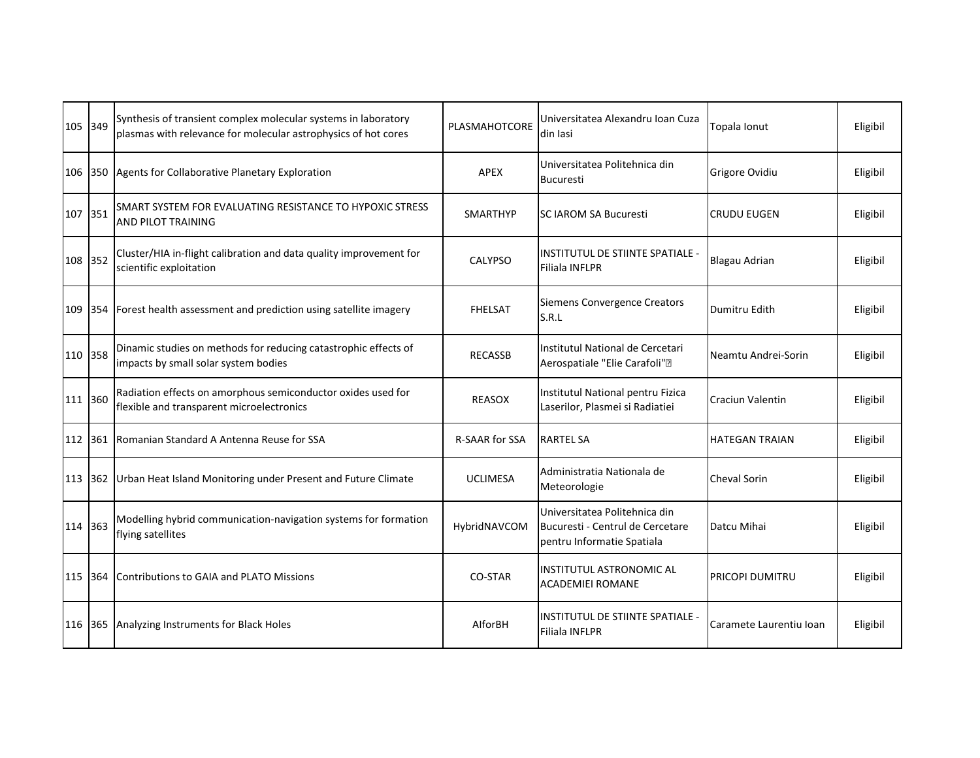| 105 349 |      | Synthesis of transient complex molecular systems in laboratory<br>plasmas with relevance for molecular astrophysics of hot cores | PLASMAHOTCORE         | Universitatea Alexandru Ioan Cuza<br>din Iasi                                                   | Topala Ionut            | Eligibil |
|---------|------|----------------------------------------------------------------------------------------------------------------------------------|-----------------------|-------------------------------------------------------------------------------------------------|-------------------------|----------|
| 106 350 |      | Agents for Collaborative Planetary Exploration                                                                                   | <b>APEX</b>           | Universitatea Politehnica din<br><b>Bucuresti</b>                                               | Grigore Ovidiu          | Eligibil |
| 107 351 |      | SMART SYSTEM FOR EVALUATING RESISTANCE TO HYPOXIC STRESS<br><b>AND PILOT TRAINING</b>                                            | <b>SMARTHYP</b>       | <b>SC IAROM SA Bucuresti</b>                                                                    | <b>CRUDU EUGEN</b>      | Eligibil |
| 108 352 |      | Cluster/HIA in-flight calibration and data quality improvement for<br>scientific exploitation                                    | CALYPSO               | <b>IINSTITUTUL DE STIINTE SPATIALE -</b><br><b>Filiala INFLPR</b>                               | <b>Blagau Adrian</b>    | Eligibil |
| 109     | 1354 | Forest health assessment and prediction using satellite imagery                                                                  | <b>FHELSAT</b>        | Siemens Convergence Creators<br>S.R.L                                                           | Dumitru Edith           | Eligibil |
| 110 358 |      | Dinamic studies on methods for reducing catastrophic effects of<br>impacts by small solar system bodies                          | <b>RECASSB</b>        | Institutul National de Cercetari<br>Aerospatiale "Elie Carafoli".                               | Neamtu Andrei-Sorin     | Eligibil |
| 111 360 |      | Radiation effects on amorphous semiconductor oxides used for<br>flexible and transparent microelectronics                        | <b>REASOX</b>         | Institutul National pentru Fizica<br>Laserilor, Plasmei si Radiatiei                            | <b>Craciun Valentin</b> | Eligibil |
| 112 361 |      | Romanian Standard A Antenna Reuse for SSA                                                                                        | <b>R-SAAR for SSA</b> | <b>RARTEL SA</b>                                                                                | <b>HATEGAN TRAIAN</b>   | Eligibil |
| 113 362 |      | Urban Heat Island Monitoring under Present and Future Climate                                                                    | <b>UCLIMESA</b>       | Administratia Nationala de<br>Meteorologie                                                      | Cheval Sorin            | Eligibil |
| 114 363 |      | Modelling hybrid communication-navigation systems for formation<br>flying satellites                                             | HybridNAVCOM          | Universitatea Politehnica din<br>Bucuresti - Centrul de Cercetare<br>pentru Informatie Spatiala | Datcu Mihai             | Eligibil |
| 115 364 |      | Contributions to GAIA and PLATO Missions                                                                                         | CO-STAR               | <b>INSTITUTUL ASTRONOMIC AL</b><br><b>ACADEMIEI ROMANE</b>                                      | <b>PRICOPI DUMITRU</b>  | Eligibil |
| 116 365 |      | Analyzing Instruments for Black Holes                                                                                            | AlforBH               | <b>INSTITUTUL DE STIINTE SPATIALE -</b><br><b>Filiala INFLPR</b>                                | Caramete Laurentiu Ioan | Eligibil |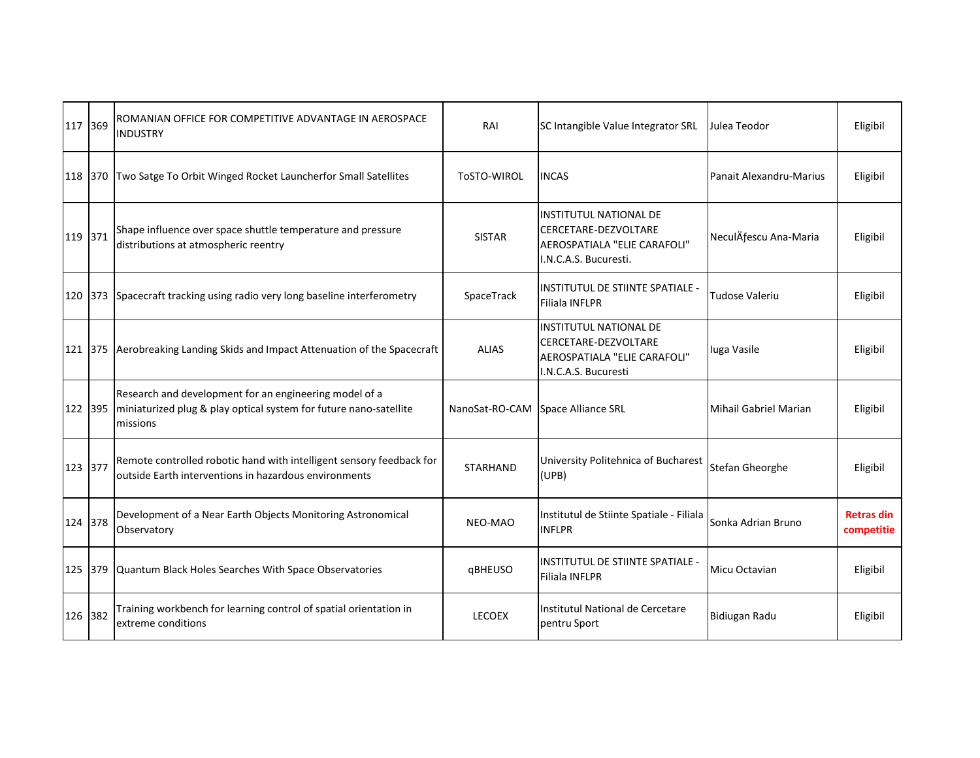| 117 369 | ROMANIAN OFFICE FOR COMPETITIVE ADVANTAGE IN AEROSPACE<br><b>INDUSTRY</b>                                                               | RAI             | SC Intangible Value Integrator SRL                                                                             | Julea Teodor            | Eligibil                        |
|---------|-----------------------------------------------------------------------------------------------------------------------------------------|-----------------|----------------------------------------------------------------------------------------------------------------|-------------------------|---------------------------------|
| 118 370 | Two Satge To Orbit Winged Rocket Launcherfor Small Satellites                                                                           | ToSTO-WIROL     | <b>INCAS</b>                                                                                                   | Panait Alexandru-Marius | Eligibil                        |
| 119 371 | Shape influence over space shuttle temperature and pressure<br>distributions at atmospheric reentry                                     | <b>SISTAR</b>   | <b>INSTITUTUL NATIONAL DE</b><br>CERCETARE-DEZVOLTARE<br>AEROSPATIALA "ELIE CARAFOLI"<br>I.N.C.A.S. Bucuresti. | NeculÄfescu Ana-Maria   | Eligibil                        |
| 120 373 | Spacecraft tracking using radio very long baseline interferometry                                                                       | SpaceTrack      | IINSTITUTUL DE STIINTE SPATIALE -<br><b>Filiala INFLPR</b>                                                     | Tudose Valeriu          | Eligibil                        |
| 121 375 | Aerobreaking Landing Skids and Impact Attenuation of the Spacecraft                                                                     | <b>ALIAS</b>    | <b>INSTITUTUL NATIONAL DE</b><br>CERCETARE-DEZVOLTARE<br>AEROSPATIALA "ELIE CARAFOLI"<br>I.N.C.A.S. Bucuresti  | luga Vasile             | Eligibil                        |
| 122 395 | Research and development for an engineering model of a<br>miniaturized plug & play optical system for future nano-satellite<br>missions | NanoSat-RO-CAM  | Space Alliance SRL                                                                                             | Mihail Gabriel Marian   | Eligibil                        |
| 123 377 | Remote controlled robotic hand with intelligent sensory feedback for<br>outside Earth interventions in hazardous environments           | <b>STARHAND</b> | University Politehnica of Bucharest<br>(UPB)                                                                   | Stefan Gheorghe         | Eligibil                        |
| 124 378 | Development of a Near Earth Objects Monitoring Astronomical<br>Observatory                                                              | NEO-MAO         | Institutul de Stiinte Spatiale - Filiala<br><b>INFLPR</b>                                                      | Sonka Adrian Bruno      | <b>Retras din</b><br>competitie |
| 125 379 | Quantum Black Holes Searches With Space Observatories                                                                                   | qBHEUSO         | <b>IINSTITUTUL DE STIINTE SPATIALE -</b><br><b>Filiala INFLPR</b>                                              | Micu Octavian           | Eligibil                        |
| 126 382 | Training workbench for learning control of spatial orientation in<br>extreme conditions                                                 | <b>LECOEX</b>   | Institutul National de Cercetare<br>pentru Sport                                                               | Bidiugan Radu           | Eligibil                        |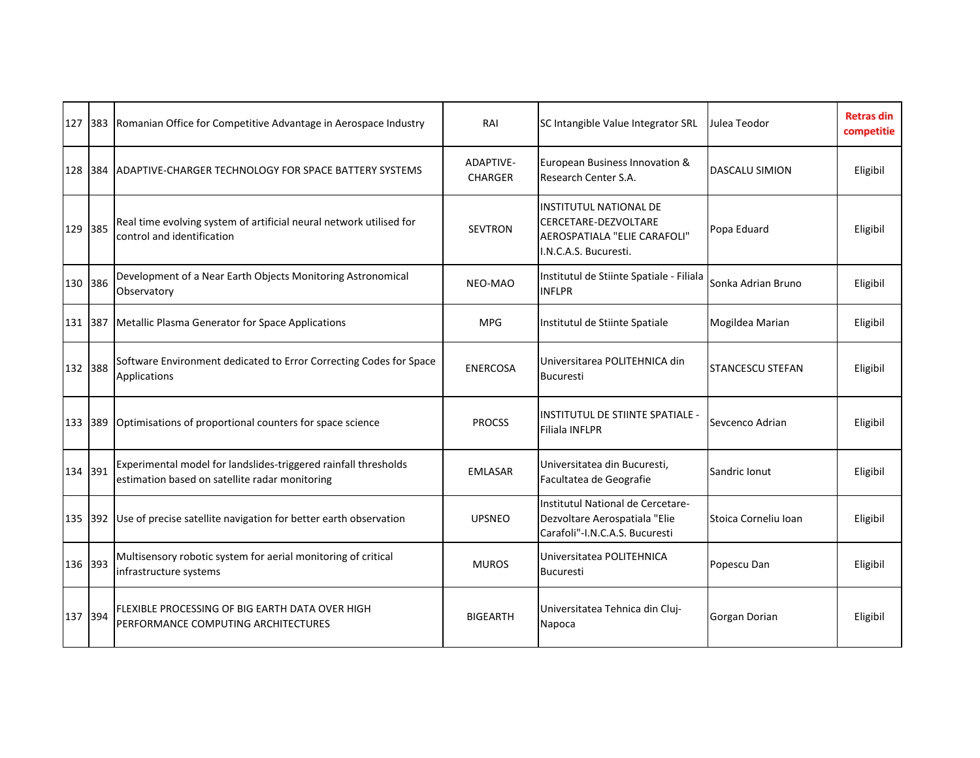| 127 383 |     | Romanian Office for Competitive Advantage in Aerospace Industry                                                   | RAI                                | SC Intangible Value Integrator SRL                                                                                    | Julea Teodor            | <b>Retras din</b><br>competitie |
|---------|-----|-------------------------------------------------------------------------------------------------------------------|------------------------------------|-----------------------------------------------------------------------------------------------------------------------|-------------------------|---------------------------------|
| 128 384 |     | <b>JADAPTIVE-CHARGER TECHNOLOGY FOR SPACE BATTERY SYSTEMS</b>                                                     | <b>ADAPTIVE-</b><br><b>CHARGER</b> | European Business Innovation &<br>Research Center S.A.                                                                | <b>DASCALU SIMION</b>   | Eligibil                        |
| 129 385 |     | Real time evolving system of artificial neural network utilised for<br>control and identification                 | <b>SEVTRON</b>                     | <b>INSTITUTUL NATIONAL DE</b><br><b>CERCETARE-DEZVOLTARE</b><br>AEROSPATIALA "ELIE CARAFOLI"<br>I.N.C.A.S. Bucuresti. | Popa Eduard             | Eligibil                        |
| 130 386 |     | Development of a Near Earth Objects Monitoring Astronomical<br>Observatory                                        | NEO-MAO                            | Institutul de Stiinte Spatiale - Filiala<br><b>INFLPR</b>                                                             | Sonka Adrian Bruno      | Eligibil                        |
| 131 387 |     | Metallic Plasma Generator for Space Applications                                                                  | <b>MPG</b>                         | Institutul de Stiinte Spatiale                                                                                        | Mogildea Marian         | Eligibil                        |
| 132 388 |     | Software Environment dedicated to Error Correcting Codes for Space<br>Applications                                | <b>ENERCOSA</b>                    | Universitarea POLITEHNICA din<br>Bucuresti                                                                            | <b>STANCESCU STEFAN</b> | Eligibil                        |
| 133 389 |     | Optimisations of proportional counters for space science                                                          | <b>PROCSS</b>                      | <b>INSTITUTUL DE STIINTE SPATIALE -</b><br><b>Filiala INFLPR</b>                                                      | Sevcenco Adrian         | Eligibil                        |
| 134 391 |     | Experimental model for landslides-triggered rainfall thresholds<br>estimation based on satellite radar monitoring | <b>EMLASAR</b>                     | Universitatea din Bucuresti.<br>Facultatea de Geografie                                                               | Sandric Ionut           | Eligibil                        |
| 135     | 392 | Use of precise satellite navigation for better earth observation                                                  | <b>UPSNEO</b>                      | Institutul National de Cercetare-<br>Dezvoltare Aerospatiala "Elie<br>Carafoli"-I.N.C.A.S. Bucuresti                  | Stoica Corneliu Ioan    | Eligibil                        |
| 136 393 |     | Multisensory robotic system for aerial monitoring of critical<br>infrastructure systems                           | <b>MUROS</b>                       | Universitatea POLITEHNICA<br><b>Bucuresti</b>                                                                         | Popescu Dan             | Eligibil                        |
| 137 394 |     | FLEXIBLE PROCESSING OF BIG EARTH DATA OVER HIGH<br>PERFORMANCE COMPUTING ARCHITECTURES                            | <b>BIGEARTH</b>                    | Universitatea Tehnica din Cluj-<br>Napoca                                                                             | Gorgan Dorian           | Eligibil                        |